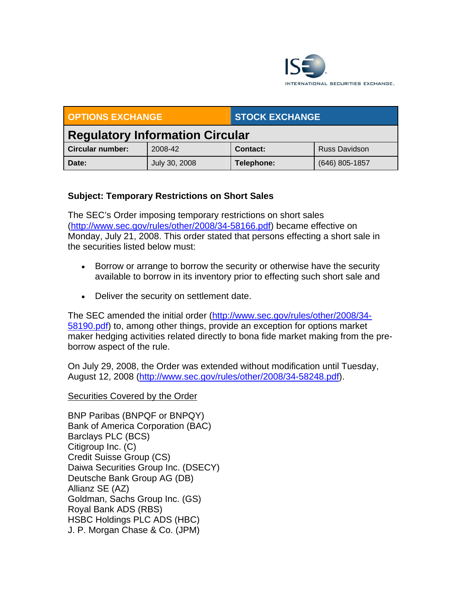

| OPTIONS EXCHANGE                       |               | <b>STOCK EXCHANGE</b> |                      |
|----------------------------------------|---------------|-----------------------|----------------------|
| <b>Regulatory Information Circular</b> |               |                       |                      |
| <b>Circular number:</b>                | 2008-42       | Contact:              | <b>Russ Davidson</b> |
| Date:                                  | July 30, 2008 | Telephone:            | (646) 805-1857       |

## **Subject: Temporary Restrictions on Short Sales**

The SEC's Order imposing temporary restrictions on short sales (http://www.sec.gov/rules/other/2008/34-58166.pdf) became effective on Monday, July 21, 2008. This order stated that persons effecting a short sale in the securities listed below must:

- Borrow or arrange to borrow the security or otherwise have the security available to borrow in its inventory prior to effecting such short sale and
- Deliver the security on settlement date.

The SEC amended the initial order (http://www.sec.gov/rules/other/2008/34- 58190.pdf) to, among other things, provide an exception for options market maker hedging activities related directly to bona fide market making from the preborrow aspect of the rule.

On July 29, 2008, the Order was extended without modification until Tuesday, August 12, 2008 (http://www.sec.gov/rules/other/2008/34-58248.pdf).

## Securities Covered by the Order

BNP Paribas (BNPQF or BNPQY) Bank of America Corporation (BAC) Barclays PLC (BCS) Citigroup Inc. (C) Credit Suisse Group (CS) Daiwa Securities Group Inc. (DSECY) Deutsche Bank Group AG (DB) Allianz SE (AZ) Goldman, Sachs Group Inc. (GS) Royal Bank ADS (RBS) HSBC Holdings PLC ADS (HBC) J. P. Morgan Chase & Co. (JPM)